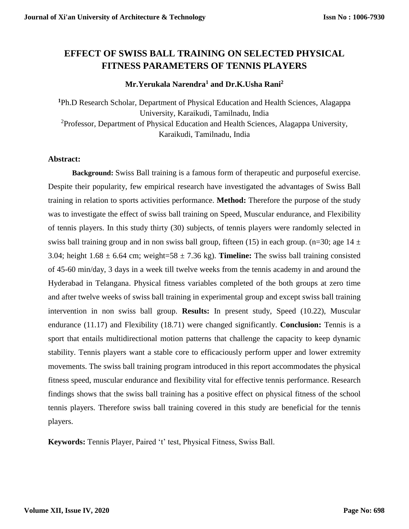# **EFFECT OF SWISS BALL TRAINING ON SELECTED PHYSICAL FITNESS PARAMETERS OF TENNIS PLAYERS**

## **Mr.Yerukala Narendra<sup>1</sup> and Dr.K.Usha Rani<sup>2</sup>**

**<sup>1</sup>**Ph.D Research Scholar, Department of Physical Education and Health Sciences, Alagappa University, Karaikudi, Tamilnadu, India <sup>2</sup>Professor, Department of Physical Education and Health Sciences, Alagappa University, Karaikudi, Tamilnadu, India

## **Abstract:**

**Background:** Swiss Ball training is a famous form of therapeutic and purposeful exercise. Despite their popularity, few empirical research have investigated the advantages of Swiss Ball training in relation to sports activities performance. **Method:** Therefore the purpose of the study was to investigate the effect of swiss ball training on Speed, Muscular endurance, and Flexibility of tennis players. In this study thirty (30) subjects, of tennis players were randomly selected in swiss ball training group and in non swiss ball group, fifteen (15) in each group. (n=30; age  $14 \pm$ 3.04; height  $1.68 \pm 6.64$  cm; weight=58  $\pm$  7.36 kg). **Timeline:** The swiss ball training consisted of 45-60 min/day, 3 days in a week till twelve weeks from the tennis academy in and around the Hyderabad in Telangana. Physical fitness variables completed of the both groups at zero time and after twelve weeks of swiss ball training in experimental group and except swiss ball training intervention in non swiss ball group. **Results:** In present study, Speed (10.22), Muscular endurance (11.17) and Flexibility (18.71) were changed significantly. **Conclusion:** Tennis is a sport that entails multidirectional motion patterns that challenge the capacity to keep dynamic stability. Tennis players want a stable core to efficaciously perform upper and lower extremity movements. The swiss ball training program introduced in this report accommodates the physical fitness speed, muscular endurance and flexibility vital for effective tennis performance. Research findings shows that the swiss ball training has a positive effect on physical fitness of the school tennis players. Therefore swiss ball training covered in this study are beneficial for the tennis players.

**Keywords:** Tennis Player, Paired 't' test, Physical Fitness, Swiss Ball.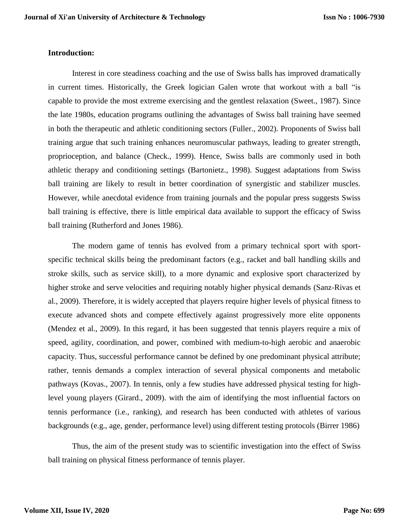### **Introduction:**

Interest in core steadiness coaching and the use of Swiss balls has improved dramatically in current times. Historically, the Greek logician Galen wrote that workout with a ball "is capable to provide the most extreme exercising and the gentlest relaxation (Sweet., 1987). Since the late 1980s, education programs outlining the advantages of Swiss ball training have seemed in both the therapeutic and athletic conditioning sectors (Fuller., 2002). Proponents of Swiss ball training argue that such training enhances neuromuscular pathways, leading to greater strength, proprioception, and balance (Check., 1999). Hence, Swiss balls are commonly used in both athletic therapy and conditioning settings (Bartonietz., 1998). Suggest adaptations from Swiss ball training are likely to result in better coordination of synergistic and stabilizer muscles. However, while anecdotal evidence from training journals and the popular press suggests Swiss ball training is effective, there is little empirical data available to support the efficacy of Swiss ball training (Rutherford and Jones 1986).

The modern game of tennis has evolved from a primary technical sport with sportspecific technical skills being the predominant factors (e.g., racket and ball handling skills and stroke skills, such as service skill), to a more dynamic and explosive sport characterized by higher stroke and serve velocities and requiring notably higher physical demands (Sanz-Rivas et al., 2009). Therefore, it is widely accepted that players require higher levels of physical fitness to execute advanced shots and compete effectively against progressively more elite opponents (Mendez et al., 2009). In this regard, it has been suggested that tennis players require a mix of speed, agility, coordination, and power, combined with medium-to-high aerobic and anaerobic capacity. Thus, successful performance cannot be defined by one predominant physical attribute; rather, tennis demands a complex interaction of several physical components and metabolic pathways (Kovas., 2007). In tennis, only a few studies have addressed physical testing for highlevel young players (Girard., 2009). with the aim of identifying the most influential factors on tennis performance (i.e., ranking), and research has been conducted with athletes of various backgrounds (e.g., age, gender, performance level) using different testing protocols (Birrer 1986)

Thus, the aim of the present study was to scientific investigation into the effect of Swiss ball training on physical fitness performance of tennis player.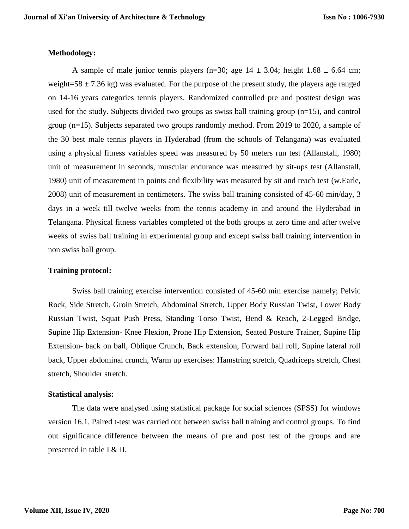#### **Methodology:**

A sample of male junior tennis players (n=30; age  $14 \pm 3.04$ ; height  $1.68 \pm 6.64$  cm; weight=58  $\pm$  7.36 kg) was evaluated. For the purpose of the present study, the players age ranged on 14-16 years categories tennis players. Randomized controlled pre and posttest design was used for the study. Subjects divided two groups as swiss ball training group (n=15), and control group (n=15). Subjects separated two groups randomly method. From 2019 to 2020, a sample of the 30 best male tennis players in Hyderabad (from the schools of Telangana) was evaluated using a physical fitness variables speed was measured by 50 meters run test (Allanstall, 1980) unit of measurement in seconds, muscular endurance was measured by sit-ups test (Allanstall, 1980) unit of measurement in points and flexibility was measured by sit and reach test (w.Earle, 2008) unit of measurement in centimeters. The swiss ball training consisted of 45-60 min/day, 3 days in a week till twelve weeks from the tennis academy in and around the Hyderabad in Telangana. Physical fitness variables completed of the both groups at zero time and after twelve weeks of swiss ball training in experimental group and except swiss ball training intervention in non swiss ball group.

#### **Training protocol:**

Swiss ball training exercise intervention consisted of 45-60 min exercise namely; Pelvic Rock, Side Stretch, Groin Stretch, Abdominal Stretch, Upper Body Russian Twist, Lower Body Russian Twist, Squat Push Press, Standing Torso Twist, Bend & Reach, 2-Legged Bridge, Supine Hip Extension- Knee Flexion, Prone Hip Extension, Seated Posture Trainer, Supine Hip Extension- back on ball, Oblique Crunch, Back extension, Forward ball roll, Supine lateral roll back, Upper abdominal crunch, Warm up exercises: Hamstring stretch, Quadriceps stretch, Chest stretch, Shoulder stretch.

#### **Statistical analysis:**

The data were analysed using statistical package for social sciences (SPSS) for windows version 16.1. Paired t-test was carried out between swiss ball training and control groups. To find out significance difference between the means of pre and post test of the groups and are presented in table I & II.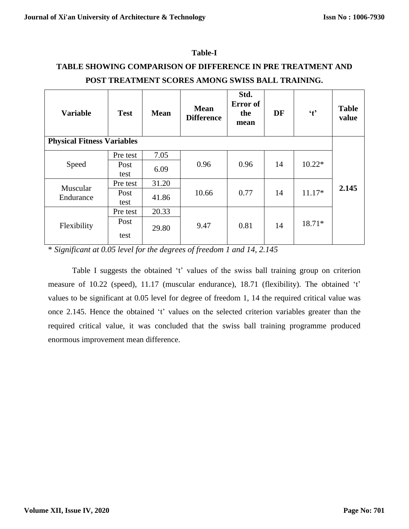| <b>TABLE SHOWING COMPARISON OF DIFFERENCE IN PRE TREATMENT AND</b> |              |             | POST TREATMENT SCORES AMONG SWISS BALL TRAINING. |                                 |           |              |                       |
|--------------------------------------------------------------------|--------------|-------------|--------------------------------------------------|---------------------------------|-----------|--------------|-----------------------|
| <b>Variable</b>                                                    | <b>Test</b>  | <b>Mean</b> | <b>Mean</b><br><b>Difference</b>                 | Std.<br>Error of<br>the<br>mean | <b>DF</b> | $\mathbf{t}$ | <b>Table</b><br>value |
| <b>Physical Fitness Variables</b>                                  |              |             |                                                  |                                 |           |              |                       |
|                                                                    | Pre test     | 7.05        |                                                  |                                 |           |              |                       |
| Speed                                                              | Post<br>test | 6.09        | 0.96                                             | 0.96                            | 14        | $10.22*$     |                       |
| Muscular                                                           | Pre test     | 31.20       |                                                  |                                 |           |              | 2.145                 |
| Endurance                                                          | Post<br>test | 41.86       | 10.66                                            | 0.77                            | 14        | $11.17*$     |                       |
|                                                                    | Pre test     | 20.33       |                                                  |                                 |           |              |                       |
| Flexibility                                                        | Post<br>test | 29.80       | 9.47                                             | 0.81                            | 14        | 18.71*       |                       |

## **Table-I**

# **TABLE SHOWING COMPARISON OF DIFFERENCE IN PRE TREATMENT AND**

\* *Significant at 0.05 level for the degrees of freedom 1 and 14, 2.145*

Table I suggests the obtained 't' values of the swiss ball training group on criterion measure of 10.22 (speed), 11.17 (muscular endurance), 18.71 (flexibility). The obtained 't' values to be significant at 0.05 level for degree of freedom 1, 14 the required critical value was once 2.145. Hence the obtained 't' values on the selected criterion variables greater than the required critical value, it was concluded that the swiss ball training programme produced enormous improvement mean difference.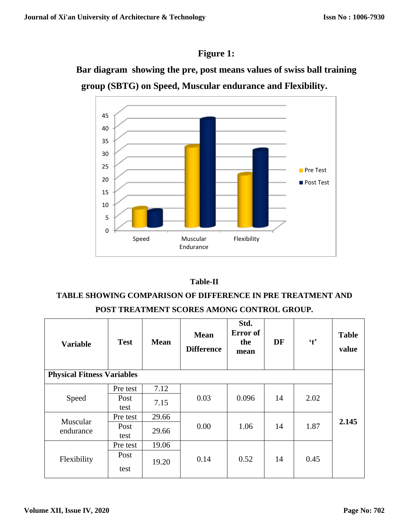# **Figure 1:**

**Bar diagram showing the pre, post means values of swiss ball training group (SBTG) on Speed, Muscular endurance and Flexibility.**



# **Table-II**

# **TABLE SHOWING COMPARISON OF DIFFERENCE IN PRE TREATMENT AND POST TREATMENT SCORES AMONG CONTROL GROUP.**

| <b>Variable</b>                   | <b>Test</b> | <b>Mean</b> | <b>Mean</b><br><b>Difference</b> | Std.<br>Error of<br>the<br>mean | DF | $\mathbf{t}$ | <b>Table</b><br>value |  |
|-----------------------------------|-------------|-------------|----------------------------------|---------------------------------|----|--------------|-----------------------|--|
| <b>Physical Fitness Variables</b> |             |             |                                  |                                 |    |              |                       |  |
| Speed                             | Pre test    | 7.12        | 0.03                             | 0.096                           | 14 | 2.02         |                       |  |
|                                   | Post        | 7.15        |                                  |                                 |    |              |                       |  |
|                                   | test        |             |                                  |                                 |    |              |                       |  |
| Muscular<br>endurance             | Pre test    | 29.66       | 0.00                             | 1.06                            | 14 | 1.87         | 2.145                 |  |
|                                   | Post        | 29.66       |                                  |                                 |    |              |                       |  |
|                                   | test        |             |                                  |                                 |    |              |                       |  |
| Flexibility                       | Pre test    | 19.06       | 0.14                             | 0.52                            | 14 | 0.45         |                       |  |
|                                   | Post        |             |                                  |                                 |    |              |                       |  |
|                                   | test        | 19.20       |                                  |                                 |    |              |                       |  |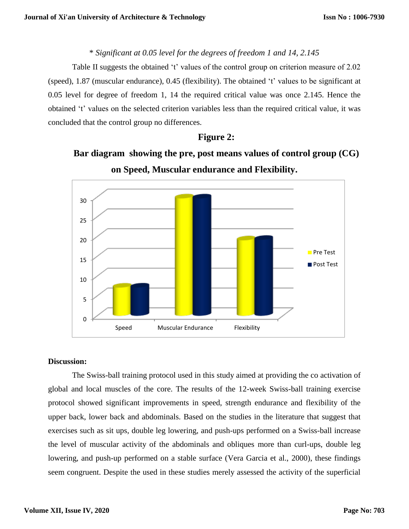# \* *Significant at 0.05 level for the degrees of freedom 1 and 14, 2.145*

Table II suggests the obtained 't' values of the control group on criterion measure of 2.02 (speed), 1.87 (muscular endurance), 0.45 (flexibility). The obtained 't' values to be significant at 0.05 level for degree of freedom 1, 14 the required critical value was once 2.145. Hence the obtained 't' values on the selected criterion variables less than the required critical value, it was concluded that the control group no differences.

# **Figure 2:**





## **Discussion:**

The Swiss-ball training protocol used in this study aimed at providing the co activation of global and local muscles of the core. The results of the 12-week Swiss-ball training exercise protocol showed significant improvements in speed, strength endurance and flexibility of the upper back, lower back and abdominals. Based on the studies in the literature that suggest that exercises such as sit ups, double leg lowering, and push-ups performed on a Swiss-ball increase the level of muscular activity of the abdominals and obliques more than curl-ups, double leg lowering, and push-up performed on a stable surface (Vera Garcia et al., 2000), these findings seem congruent. Despite the used in these studies merely assessed the activity of the superficial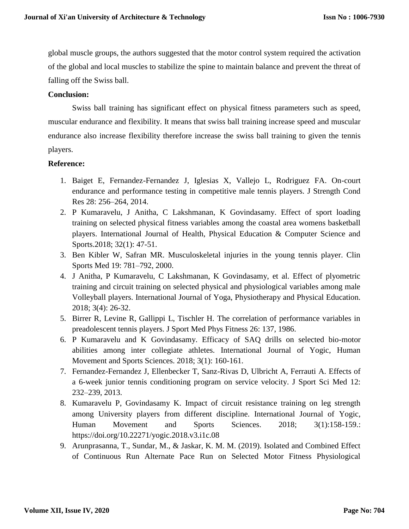global muscle groups, the authors suggested that the motor control system required the activation of the global and local muscles to stabilize the spine to maintain balance and prevent the threat of falling off the Swiss ball.

## **Conclusion:**

Swiss ball training has significant effect on physical fitness parameters such as speed, muscular endurance and flexibility. It means that swiss ball training increase speed and muscular endurance also increase flexibility therefore increase the swiss ball training to given the tennis players.

## **Reference:**

- 1. Baiget E, Fernandez-Fernandez J, Iglesias X, Vallejo L, Rodriguez FA. On-court endurance and performance testing in competitive male tennis players. J Strength Cond Res 28: 256–264, 2014.
- 2. P Kumaravelu, J Anitha, C Lakshmanan, K Govindasamy. Effect of sport loading training on selected physical fitness variables among the coastal area womens basketball players. International Journal of Health, Physical Education & Computer Science and Sports.2018; 32(1): 47-51.
- 3. Ben Kibler W, Safran MR. Musculoskeletal injuries in the young tennis player. Clin Sports Med 19: 781–792, 2000.
- 4. J Anitha, P Kumaravelu, C Lakshmanan, K Govindasamy, et al. Effect of plyometric training and circuit training on selected physical and physiological variables among male Volleyball players. International Journal of Yoga, Physiotherapy and Physical Education. 2018; 3(4): 26-32.
- 5. Birrer R, Levine R, Gallippi L, Tischler H. The correlation of performance variables in preadolescent tennis players. J Sport Med Phys Fitness 26: 137, 1986.
- 6. P Kumaravelu and K Govindasamy. Efficacy of SAQ drills on selected bio-motor abilities among inter collegiate athletes. International Journal of Yogic, Human Movement and Sports Sciences. 2018; 3(1): 160-161.
- 7. Fernandez-Fernandez J, Ellenbecker T, Sanz-Rivas D, Ulbricht A, Ferrauti A. Effects of a 6-week junior tennis conditioning program on service velocity. J Sport Sci Med 12: 232–239, 2013.
- 8. Kumaravelu P, Govindasamy K. Impact of circuit resistance training on leg strength among University players from different discipline. International Journal of Yogic, Human Movement and Sports Sciences. 2018; 3(1):158-159.: <https://doi.org/10.22271/yogic.2018.v3.i1c.08>
- 9. Arunprasanna, T., Sundar, M., & Jaskar, K. M. M. (2019). Isolated and Combined Effect of Continuous Run Alternate Pace Run on Selected Motor Fitness Physiological